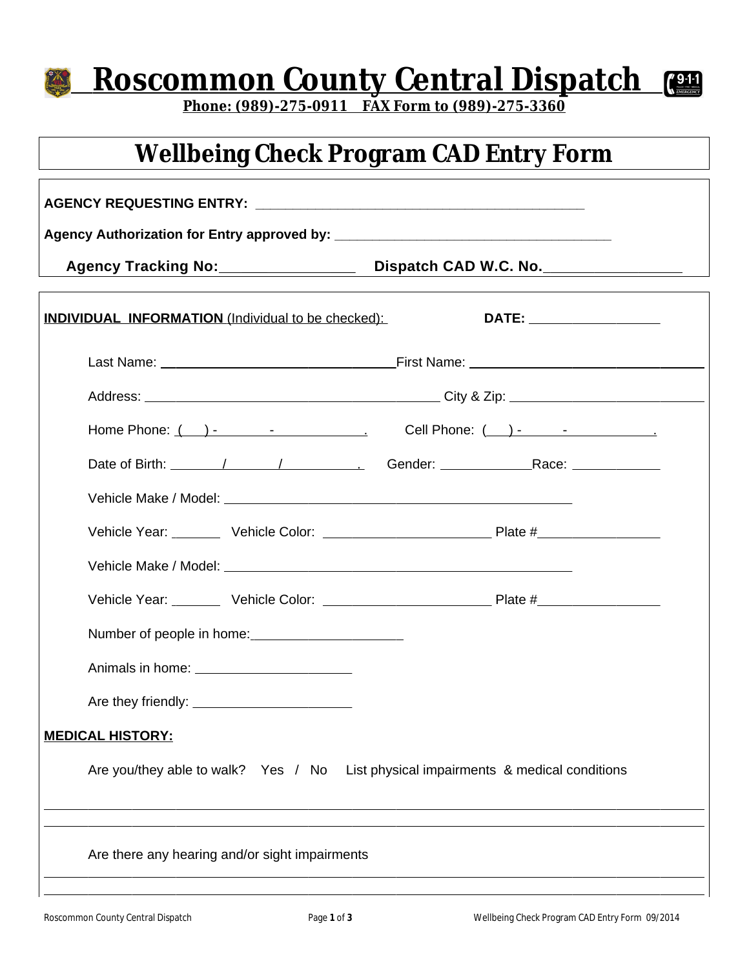## **Roscommon County Central Dispatch**  $\sqrt{9.11}$

**Phone: (989)-275-0911 FAX Form to (989)-275-3360**

## **Wellbeing Check Program CAD Entry Form**

| <b>INDIVIDUAL INFORMATION</b> (Individual to be checked):                          | DATE: ___________________ |
|------------------------------------------------------------------------------------|---------------------------|
|                                                                                    |                           |
|                                                                                    |                           |
|                                                                                    |                           |
|                                                                                    |                           |
|                                                                                    |                           |
|                                                                                    |                           |
|                                                                                    |                           |
|                                                                                    |                           |
|                                                                                    |                           |
|                                                                                    |                           |
|                                                                                    |                           |
| <b>MEDICAL HISTORY:</b>                                                            |                           |
| Are you/they able to walk? Yes / No List physical impairments & medical conditions |                           |
| Are there any hearing and/or sight impairments                                     |                           |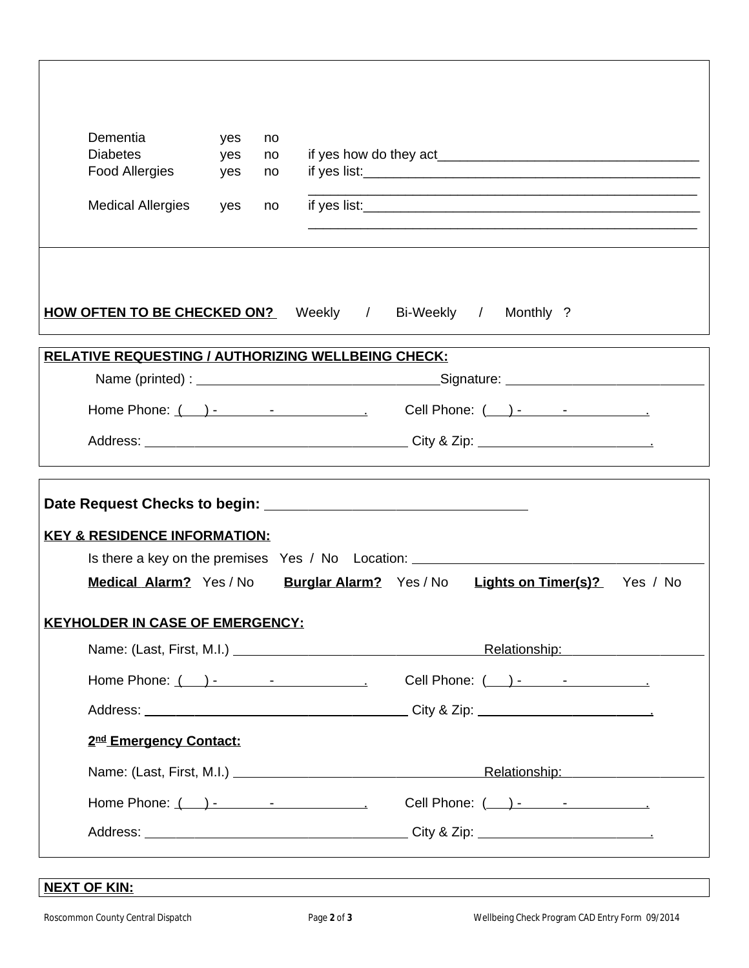| Dementia<br><b>Diabetes</b><br><b>Food Allergies</b>                                                                                                                                                                       | yes<br>yes<br>yes | no<br>no<br>no | <u> 1989 - Johann John Stone, mensk politik en beskrivet og det forskellige og det forskellige og det forskellige</u> |  |
|----------------------------------------------------------------------------------------------------------------------------------------------------------------------------------------------------------------------------|-------------------|----------------|-----------------------------------------------------------------------------------------------------------------------|--|
| <b>Medical Allergies</b>                                                                                                                                                                                                   | yes               | no             |                                                                                                                       |  |
|                                                                                                                                                                                                                            |                   |                | <b>HOW OFTEN TO BE CHECKED ON?</b> Weekly / Bi-Weekly / Monthly ?                                                     |  |
|                                                                                                                                                                                                                            |                   |                | <b>RELATIVE REQUESTING / AUTHORIZING WELLBEING CHECK:</b><br>Name (printed) : Signature: Signature:                   |  |
|                                                                                                                                                                                                                            |                   |                |                                                                                                                       |  |
|                                                                                                                                                                                                                            |                   |                |                                                                                                                       |  |
|                                                                                                                                                                                                                            |                   |                |                                                                                                                       |  |
|                                                                                                                                                                                                                            |                   |                |                                                                                                                       |  |
|                                                                                                                                                                                                                            |                   |                | Is there a key on the premises Yes / No Location: ______________________________                                      |  |
|                                                                                                                                                                                                                            |                   |                | Medical Alarm? Yes/No Burglar Alarm? Yes/No Lights on Timer(s)? Yes / No                                              |  |
|                                                                                                                                                                                                                            |                   |                |                                                                                                                       |  |
|                                                                                                                                                                                                                            |                   |                | Relationship: National Property of the Relationship:                                                                  |  |
| <b>KEY &amp; RESIDENCE INFORMATION:</b><br><b>KEYHOLDER IN CASE OF EMERGENCY:</b>                                                                                                                                          |                   |                | Cell Phone: ( __ ) - _____ - ______________                                                                           |  |
|                                                                                                                                                                                                                            |                   |                |                                                                                                                       |  |
| 2nd Emergency Contact:                                                                                                                                                                                                     |                   |                |                                                                                                                       |  |
|                                                                                                                                                                                                                            |                   |                | Relationship: Network of the Relationship:                                                                            |  |
| Home Phone: $($ $)$ -  - $($ $)$ - $($ $)$ - $($ $)$ - $($ $)$ - $($ $)$ - $($ $)$ - $($ $)$ - $($ $)$ - $($ $)$ - $($ $)$ - $($ $)$ - $($ $)$ - $($ $)$ - $($ $)$ - $($ $)$ - $($ $)$ - $($ $)$ - $($ $)$ - $($ $)$ - $($ |                   |                |                                                                                                                       |  |

## **NEXT OF KIN:**